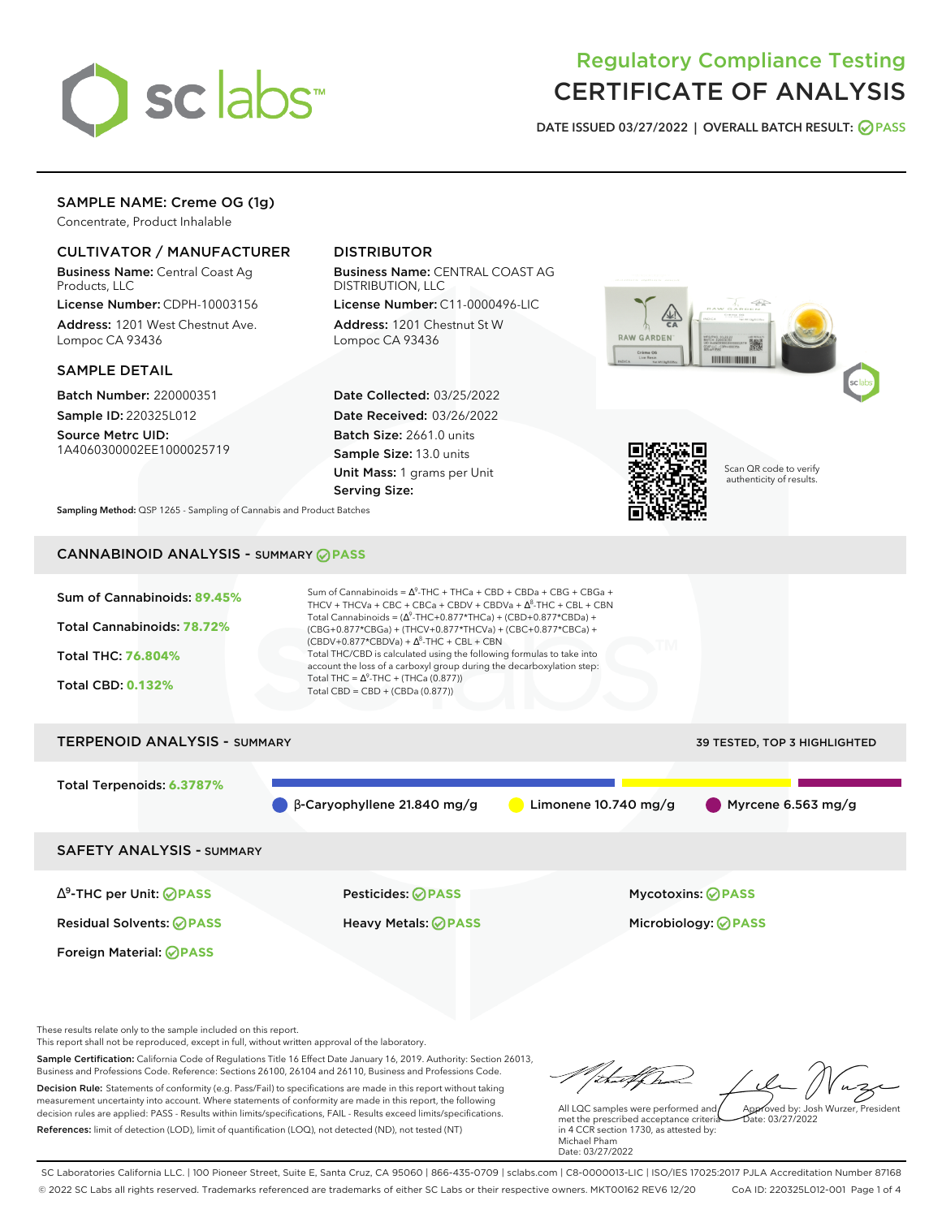

# Regulatory Compliance Testing CERTIFICATE OF ANALYSIS

**DATE ISSUED 03/27/2022 | OVERALL BATCH RESULT: PASS**

## SAMPLE NAME: Creme OG (1g)

Concentrate, Product Inhalable

## CULTIVATOR / MANUFACTURER

Business Name: Central Coast Ag Products, LLC

License Number: CDPH-10003156 Address: 1201 West Chestnut Ave. Lompoc CA 93436

#### SAMPLE DETAIL

Batch Number: 220000351 Sample ID: 220325L012

Source Metrc UID: 1A4060300002EE1000025719

## DISTRIBUTOR

Business Name: CENTRAL COAST AG DISTRIBUTION, LLC

License Number: C11-0000496-LIC Address: 1201 Chestnut St W Lompoc CA 93436

Date Collected: 03/25/2022 Date Received: 03/26/2022 Batch Size: 2661.0 units Sample Size: 13.0 units Unit Mass: 1 grams per Unit Serving Size:





Scan QR code to verify authenticity of results.

**Sampling Method:** QSP 1265 - Sampling of Cannabis and Product Batches

## CANNABINOID ANALYSIS - SUMMARY **PASS**



Total Terpenoids: **6.3787%**

 $\bullet$  β-Caryophyllene 21.840 mg/g  $\bullet$  Limonene 10.740 mg/g Myrcene 6.563 mg/g

SAFETY ANALYSIS - SUMMARY

∆ 9 -THC per Unit: **PASS** Pesticides: **PASS** Mycotoxins: **PASS**

Foreign Material: **PASS**

Residual Solvents: **PASS** Heavy Metals: **PASS** Microbiology: **PASS**

These results relate only to the sample included on this report.

This report shall not be reproduced, except in full, without written approval of the laboratory.

Sample Certification: California Code of Regulations Title 16 Effect Date January 16, 2019. Authority: Section 26013, Business and Professions Code. Reference: Sections 26100, 26104 and 26110, Business and Professions Code. Decision Rule: Statements of conformity (e.g. Pass/Fail) to specifications are made in this report without taking measurement uncertainty into account. Where statements of conformity are made in this report, the following decision rules are applied: PASS - Results within limits/specifications, FAIL - Results exceed limits/specifications.

References: limit of detection (LOD), limit of quantification (LOQ), not detected (ND), not tested (NT)

tu#f h Approved by: Josh Wurzer, President

 $ate: 03/27/2022$ 

All LQC samples were performed and met the prescribed acceptance criteria in 4 CCR section 1730, as attested by: Michael Pham Date: 03/27/2022

SC Laboratories California LLC. | 100 Pioneer Street, Suite E, Santa Cruz, CA 95060 | 866-435-0709 | sclabs.com | C8-0000013-LIC | ISO/IES 17025:2017 PJLA Accreditation Number 87168 © 2022 SC Labs all rights reserved. Trademarks referenced are trademarks of either SC Labs or their respective owners. MKT00162 REV6 12/20 CoA ID: 220325L012-001 Page 1 of 4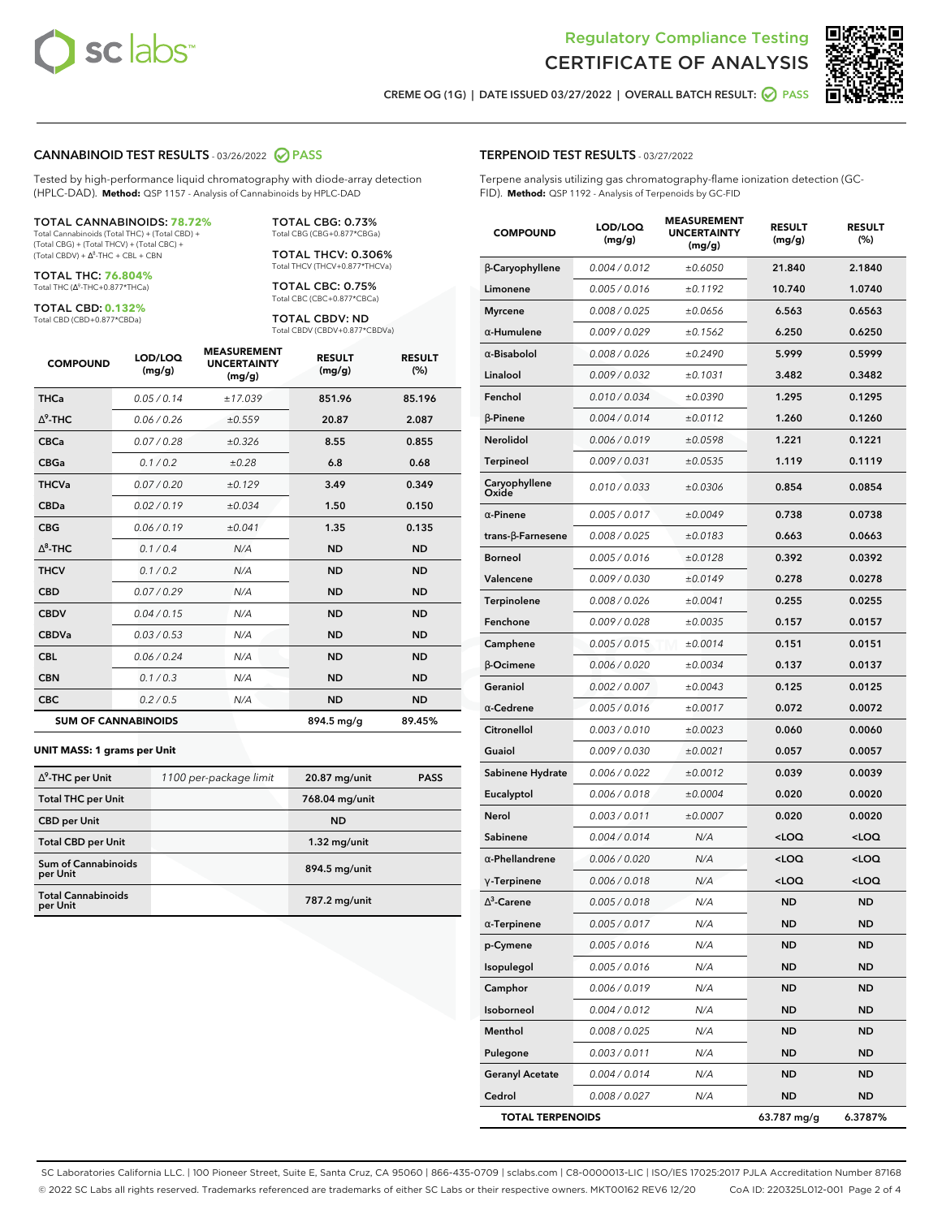



**CREME OG (1G) | DATE ISSUED 03/27/2022 | OVERALL BATCH RESULT: PASS**

#### **CANNABINOID TEST RESULTS** - 03/26/2022 **PASS**

Tested by high-performance liquid chromatography with diode-array detection (HPLC-DAD). **Method:** QSP 1157 - Analysis of Cannabinoids by HPLC-DAD

#### TOTAL CANNABINOIDS: **78.72%**

Total Cannabinoids (Total THC) + (Total CBD) + (Total CBG) + (Total THCV) + (Total CBC) +  $(Total CBDV) +  $\Delta^8$ -THC + CBL + CBN$ 

TOTAL THC: **76.804%** Total THC (Δ<sup>9</sup>-THC+0.877\*THCa)

TOTAL CBD: **0.132%**

Total CBD (CBD+0.877\*CBDa)

TOTAL CBG: 0.73% Total CBG (CBG+0.877\*CBGa)

TOTAL THCV: 0.306% Total THCV (THCV+0.877\*THCVa)

TOTAL CBC: 0.75% Total CBC (CBC+0.877\*CBCa)

TOTAL CBDV: ND Total CBDV (CBDV+0.877\*CBDVa)

| <b>COMPOUND</b>  | LOD/LOQ<br>(mg/g)          | <b>MEASUREMENT</b><br><b>UNCERTAINTY</b><br>(mg/g) | <b>RESULT</b><br>(mg/g) | <b>RESULT</b><br>(%) |
|------------------|----------------------------|----------------------------------------------------|-------------------------|----------------------|
| <b>THCa</b>      | 0.05/0.14                  | ±17.039                                            | 851.96                  | 85.196               |
| $\Lambda^9$ -THC | 0.06 / 0.26                | ±0.559                                             | 20.87                   | 2.087                |
| <b>CBCa</b>      | 0.07 / 0.28                | ±0.326                                             | 8.55                    | 0.855                |
| <b>CBGa</b>      | 0.1/0.2                    | ±0.28                                              | 6.8                     | 0.68                 |
| <b>THCVa</b>     | 0.07/0.20                  | ±0.129                                             | 3.49                    | 0.349                |
| <b>CBDa</b>      | 0.02/0.19                  | ±0.034                                             | 1.50                    | 0.150                |
| <b>CBG</b>       | 0.06/0.19                  | ±0.041                                             | 1.35                    | 0.135                |
| $\Delta^8$ -THC  | 0.1/0.4                    | N/A                                                | <b>ND</b>               | <b>ND</b>            |
| <b>THCV</b>      | 0.1 / 0.2                  | N/A                                                | <b>ND</b>               | <b>ND</b>            |
| <b>CBD</b>       | 0.07/0.29                  | N/A                                                | <b>ND</b>               | <b>ND</b>            |
| <b>CBDV</b>      | 0.04 / 0.15                | N/A                                                | <b>ND</b>               | <b>ND</b>            |
| <b>CBDVa</b>     | 0.03 / 0.53                | N/A                                                | <b>ND</b>               | <b>ND</b>            |
| <b>CBL</b>       | 0.06 / 0.24                | N/A                                                | <b>ND</b>               | <b>ND</b>            |
| <b>CBN</b>       | 0.1/0.3                    | N/A                                                | <b>ND</b>               | <b>ND</b>            |
| <b>CBC</b>       | 0.2 / 0.5                  | N/A                                                | <b>ND</b>               | <b>ND</b>            |
|                  | <b>SUM OF CANNABINOIDS</b> |                                                    | 894.5 mg/g              | 89.45%               |

#### **UNIT MASS: 1 grams per Unit**

| $\Delta^9$ -THC per Unit              | 1100 per-package limit | 20.87 mg/unit  | <b>PASS</b> |
|---------------------------------------|------------------------|----------------|-------------|
| <b>Total THC per Unit</b>             |                        | 768.04 mg/unit |             |
| <b>CBD</b> per Unit                   |                        | <b>ND</b>      |             |
| <b>Total CBD per Unit</b>             |                        | $1.32$ mg/unit |             |
| Sum of Cannabinoids<br>per Unit       |                        | 894.5 mg/unit  |             |
| <b>Total Cannabinoids</b><br>per Unit |                        | 787.2 mg/unit  |             |

#### **TERPENOID TEST RESULTS** - 03/27/2022

Terpene analysis utilizing gas chromatography-flame ionization detection (GC-FID). **Method:** QSP 1192 - Analysis of Terpenoids by GC-FID

| <b>COMPOUND</b>         | LOD/LOQ<br>(mg/g) | <b>MEASUREMENT</b><br><b>UNCERTAINTY</b><br>(mg/g) | <b>RESULT</b><br>(mg/g)                         | <b>RESULT</b><br>$(\%)$ |
|-------------------------|-------------------|----------------------------------------------------|-------------------------------------------------|-------------------------|
| β-Caryophyllene         | 0.004 / 0.012     | ±0.6050                                            | 21.840                                          | 2.1840                  |
| Limonene                | 0.005 / 0.016     | ±0.1192                                            | 10.740                                          | 1.0740                  |
| <b>Myrcene</b>          | 0.008 / 0.025     | ±0.0656                                            | 6.563                                           | 0.6563                  |
| α-Humulene              | 0.009 / 0.029     | ±0.1562                                            | 6.250                                           | 0.6250                  |
| $\alpha$ -Bisabolol     | 0.008 / 0.026     | ±0.2490                                            | 5.999                                           | 0.5999                  |
| Linalool                | 0.009 / 0.032     | ±0.1031                                            | 3.482                                           | 0.3482                  |
| Fenchol                 | 0.010 / 0.034     | ±0.0390                                            | 1.295                                           | 0.1295                  |
| $\beta$ -Pinene         | 0.004 / 0.014     | ±0.0112                                            | 1.260                                           | 0.1260                  |
| Nerolidol               | 0.006 / 0.019     | ±0.0598                                            | 1.221                                           | 0.1221                  |
| Terpineol               | 0.009 / 0.031     | ±0.0535                                            | 1.119                                           | 0.1119                  |
| Caryophyllene<br>Oxide  | 0.010 / 0.033     | ±0.0306                                            | 0.854                                           | 0.0854                  |
| $\alpha$ -Pinene        | 0.005 / 0.017     | ±0.0049                                            | 0.738                                           | 0.0738                  |
| trans-ß-Farnesene       | 0.008 / 0.025     | ±0.0183                                            | 0.663                                           | 0.0663                  |
| Borneol                 | 0.005 / 0.016     | ±0.0128                                            | 0.392                                           | 0.0392                  |
| Valencene               | 0.009 / 0.030     | ±0.0149                                            | 0.278                                           | 0.0278                  |
| Terpinolene             | 0.008 / 0.026     | ±0.0041                                            | 0.255                                           | 0.0255                  |
| Fenchone                | 0.009 / 0.028     | ±0.0035                                            | 0.157                                           | 0.0157                  |
| Camphene                | 0.005 / 0.015     | ±0.0014                                            | 0.151                                           | 0.0151                  |
| β-Ocimene               | 0.006 / 0.020     | ±0.0034                                            | 0.137                                           | 0.0137                  |
| Geraniol                | 0.002 / 0.007     | ±0.0043                                            | 0.125                                           | 0.0125                  |
| $\alpha$ -Cedrene       | 0.005 / 0.016     | ±0.0017                                            | 0.072                                           | 0.0072                  |
| Citronellol             | 0.003 / 0.010     | ±0.0023                                            | 0.060                                           | 0.0060                  |
| Guaiol                  | 0.009 / 0.030     | ±0.0021                                            | 0.057                                           | 0.0057                  |
| Sabinene Hydrate        | 0.006 / 0.022     | ±0.0012                                            | 0.039                                           | 0.0039                  |
| Eucalyptol              | 0.006 / 0.018     | ±0.0004                                            | 0.020                                           | 0.0020                  |
| Nerol                   | 0.003 / 0.011     | ±0.0007                                            | 0.020                                           | 0.0020                  |
| Sabinene                | 0.004 / 0.014     | N/A                                                | <loq< th=""><th><loq< th=""></loq<></th></loq<> | <loq< th=""></loq<>     |
| $\alpha$ -Phellandrene  | 0.006 / 0.020     | N/A                                                | <loq< th=""><th><loq< th=""></loq<></th></loq<> | <loq< th=""></loq<>     |
| $\gamma$ -Terpinene     | 0.006 / 0.018     | N/A                                                | <loq< th=""><th><loq< th=""></loq<></th></loq<> | <loq< th=""></loq<>     |
| $\Delta^3$ -Carene      | 0.005 / 0.018     | N/A                                                | <b>ND</b>                                       | ND                      |
| $\alpha$ -Terpinene     | 0.005 / 0.017     | N/A                                                | ND                                              | ND                      |
| p-Cymene                | 0.005 / 0.016     | N/A                                                | ND                                              | ND                      |
| Isopulegol              | 0.005 / 0.016     | N/A                                                | <b>ND</b>                                       | <b>ND</b>               |
| Camphor                 | 0.006 / 0.019     | N/A                                                | <b>ND</b>                                       | ND                      |
| Isoborneol              | 0.004 / 0.012     | N/A                                                | ND                                              | ND                      |
| Menthol                 | 0.008 / 0.025     | N/A                                                | <b>ND</b>                                       | <b>ND</b>               |
| Pulegone                | 0.003 / 0.011     | N/A                                                | <b>ND</b>                                       | ND                      |
| <b>Geranyl Acetate</b>  | 0.004 / 0.014     | N/A                                                | ND                                              | ND                      |
| Cedrol                  | 0.008 / 0.027     | N/A                                                | <b>ND</b>                                       | <b>ND</b>               |
| <b>TOTAL TERPENOIDS</b> |                   |                                                    | 63.787 mg/g                                     | 6.3787%                 |

SC Laboratories California LLC. | 100 Pioneer Street, Suite E, Santa Cruz, CA 95060 | 866-435-0709 | sclabs.com | C8-0000013-LIC | ISO/IES 17025:2017 PJLA Accreditation Number 87168 © 2022 SC Labs all rights reserved. Trademarks referenced are trademarks of either SC Labs or their respective owners. MKT00162 REV6 12/20 CoA ID: 220325L012-001 Page 2 of 4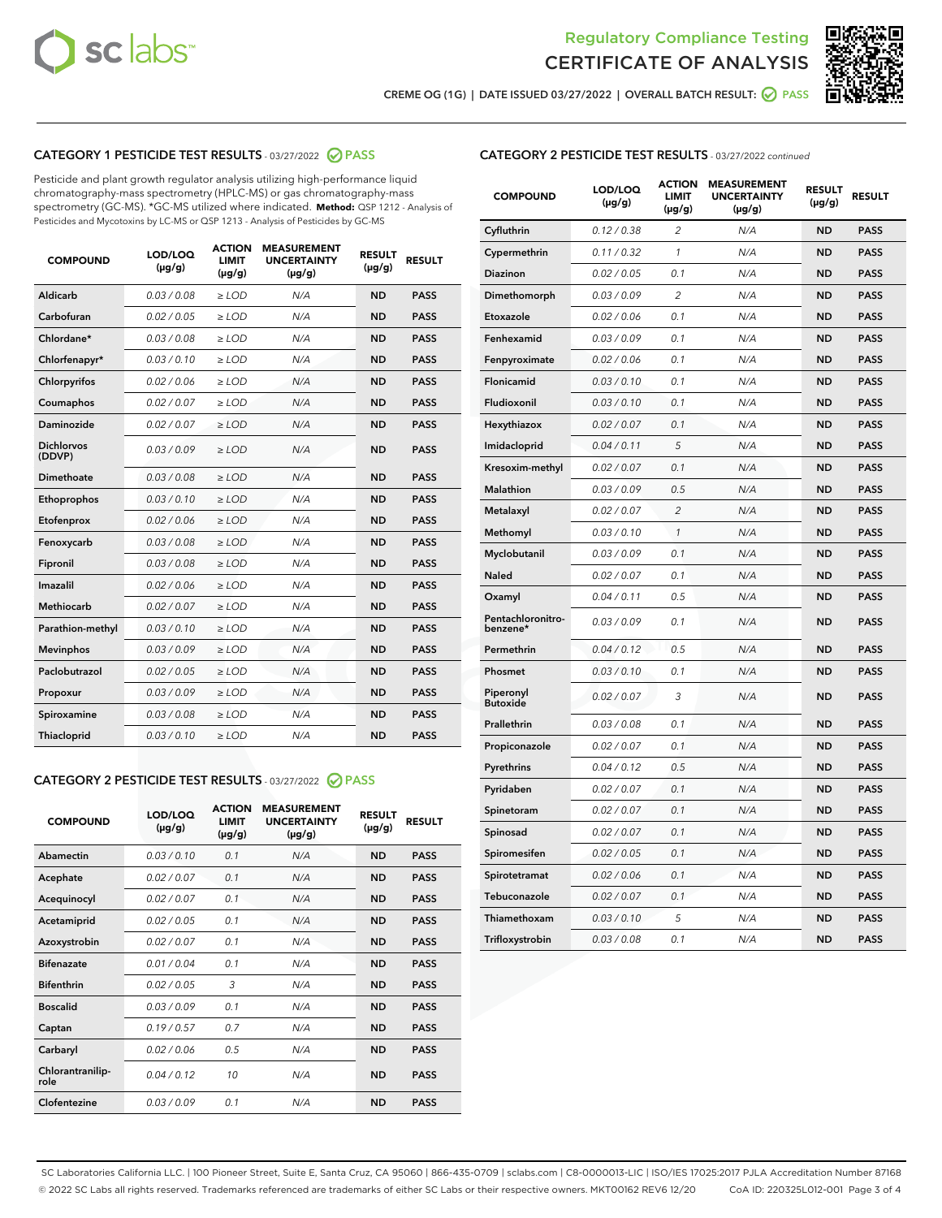



**CREME OG (1G) | DATE ISSUED 03/27/2022 | OVERALL BATCH RESULT: PASS**

## **CATEGORY 1 PESTICIDE TEST RESULTS** - 03/27/2022 **PASS**

Pesticide and plant growth regulator analysis utilizing high-performance liquid chromatography-mass spectrometry (HPLC-MS) or gas chromatography-mass spectrometry (GC-MS). \*GC-MS utilized where indicated. **Method:** QSP 1212 - Analysis of Pesticides and Mycotoxins by LC-MS or QSP 1213 - Analysis of Pesticides by GC-MS

| 0.03 / 0.08<br><b>ND</b><br>Aldicarb<br>$\ge$ LOD<br>N/A<br><b>PASS</b><br>Carbofuran<br>0.02 / 0.05<br>$>$ LOD<br>N/A<br><b>ND</b><br><b>PASS</b><br>Chlordane*<br>0.03 / 0.08<br>N/A<br><b>ND</b><br><b>PASS</b><br>$\geq$ LOD<br>Chlorfenapyr*<br>0.03/0.10<br>N/A<br><b>ND</b><br><b>PASS</b><br>$\geq$ LOD<br>N/A<br><b>ND</b><br><b>PASS</b><br>Chlorpyrifos<br>0.02/0.06<br>$>$ LOD<br>0.02 / 0.07<br><b>PASS</b><br>Coumaphos<br>$\ge$ LOD<br>N/A<br><b>ND</b><br>Daminozide<br>0.02 / 0.07<br>N/A<br><b>PASS</b><br>$\ge$ LOD<br><b>ND</b><br><b>Dichlorvos</b><br>0.03/0.09<br>N/A<br>$\ge$ LOD<br><b>ND</b><br><b>PASS</b><br>(DDVP)<br>0.03 / 0.08<br><b>ND</b><br>Dimethoate<br>$>$ LOD<br>N/A<br><b>PASS</b><br>0.03/0.10<br><b>ND</b><br><b>PASS</b><br>Ethoprophos<br>$>$ LOD<br>N/A<br>0.02 / 0.06<br>N/A<br><b>ND</b><br><b>PASS</b><br>Etofenprox<br>$\ge$ LOD<br>0.03 / 0.08<br>N/A<br><b>ND</b><br><b>PASS</b><br>Fenoxycarb<br>$\ge$ LOD<br>0.03 / 0.08<br><b>ND</b><br><b>PASS</b><br>Fipronil<br>$\ge$ LOD<br>N/A<br>Imazalil<br>0.02 / 0.06<br>N/A<br><b>ND</b><br>$\ge$ LOD<br><b>PASS</b><br><b>Methiocarb</b><br>0.02 / 0.07<br>$\ge$ LOD<br>N/A<br><b>ND</b><br><b>PASS</b><br>Parathion-methyl<br>0.03/0.10<br>$>$ LOD<br>N/A<br><b>ND</b><br><b>PASS</b><br>0.03/0.09<br>N/A<br><b>ND</b><br><b>PASS</b><br><b>Mevinphos</b><br>$\ge$ LOD<br>Paclobutrazol<br>0.02 / 0.05<br>N/A<br><b>ND</b><br><b>PASS</b><br>$\ge$ LOD<br>0.03/0.09<br>$>$ LOD<br>N/A<br><b>ND</b><br><b>PASS</b><br>Propoxur<br>0.03 / 0.08<br>$\ge$ LOD<br>N/A<br><b>ND</b><br><b>PASS</b><br>Spiroxamine<br>0.03/0.10<br>N/A<br><b>ND</b><br><b>PASS</b><br>Thiacloprid<br>$\ge$ LOD | <b>COMPOUND</b> | LOD/LOQ<br>$(\mu g/g)$ | <b>ACTION</b><br><b>LIMIT</b><br>$(\mu g/g)$ | <b>MEASUREMENT</b><br><b>UNCERTAINTY</b><br>$(\mu g/g)$ | <b>RESULT</b><br>$(\mu g/g)$ | <b>RESULT</b> |
|-------------------------------------------------------------------------------------------------------------------------------------------------------------------------------------------------------------------------------------------------------------------------------------------------------------------------------------------------------------------------------------------------------------------------------------------------------------------------------------------------------------------------------------------------------------------------------------------------------------------------------------------------------------------------------------------------------------------------------------------------------------------------------------------------------------------------------------------------------------------------------------------------------------------------------------------------------------------------------------------------------------------------------------------------------------------------------------------------------------------------------------------------------------------------------------------------------------------------------------------------------------------------------------------------------------------------------------------------------------------------------------------------------------------------------------------------------------------------------------------------------------------------------------------------------------------------------------------------------------------------------------------------------------------------------------------|-----------------|------------------------|----------------------------------------------|---------------------------------------------------------|------------------------------|---------------|
|                                                                                                                                                                                                                                                                                                                                                                                                                                                                                                                                                                                                                                                                                                                                                                                                                                                                                                                                                                                                                                                                                                                                                                                                                                                                                                                                                                                                                                                                                                                                                                                                                                                                                           |                 |                        |                                              |                                                         |                              |               |
|                                                                                                                                                                                                                                                                                                                                                                                                                                                                                                                                                                                                                                                                                                                                                                                                                                                                                                                                                                                                                                                                                                                                                                                                                                                                                                                                                                                                                                                                                                                                                                                                                                                                                           |                 |                        |                                              |                                                         |                              |               |
|                                                                                                                                                                                                                                                                                                                                                                                                                                                                                                                                                                                                                                                                                                                                                                                                                                                                                                                                                                                                                                                                                                                                                                                                                                                                                                                                                                                                                                                                                                                                                                                                                                                                                           |                 |                        |                                              |                                                         |                              |               |
|                                                                                                                                                                                                                                                                                                                                                                                                                                                                                                                                                                                                                                                                                                                                                                                                                                                                                                                                                                                                                                                                                                                                                                                                                                                                                                                                                                                                                                                                                                                                                                                                                                                                                           |                 |                        |                                              |                                                         |                              |               |
|                                                                                                                                                                                                                                                                                                                                                                                                                                                                                                                                                                                                                                                                                                                                                                                                                                                                                                                                                                                                                                                                                                                                                                                                                                                                                                                                                                                                                                                                                                                                                                                                                                                                                           |                 |                        |                                              |                                                         |                              |               |
|                                                                                                                                                                                                                                                                                                                                                                                                                                                                                                                                                                                                                                                                                                                                                                                                                                                                                                                                                                                                                                                                                                                                                                                                                                                                                                                                                                                                                                                                                                                                                                                                                                                                                           |                 |                        |                                              |                                                         |                              |               |
|                                                                                                                                                                                                                                                                                                                                                                                                                                                                                                                                                                                                                                                                                                                                                                                                                                                                                                                                                                                                                                                                                                                                                                                                                                                                                                                                                                                                                                                                                                                                                                                                                                                                                           |                 |                        |                                              |                                                         |                              |               |
|                                                                                                                                                                                                                                                                                                                                                                                                                                                                                                                                                                                                                                                                                                                                                                                                                                                                                                                                                                                                                                                                                                                                                                                                                                                                                                                                                                                                                                                                                                                                                                                                                                                                                           |                 |                        |                                              |                                                         |                              |               |
|                                                                                                                                                                                                                                                                                                                                                                                                                                                                                                                                                                                                                                                                                                                                                                                                                                                                                                                                                                                                                                                                                                                                                                                                                                                                                                                                                                                                                                                                                                                                                                                                                                                                                           |                 |                        |                                              |                                                         |                              |               |
|                                                                                                                                                                                                                                                                                                                                                                                                                                                                                                                                                                                                                                                                                                                                                                                                                                                                                                                                                                                                                                                                                                                                                                                                                                                                                                                                                                                                                                                                                                                                                                                                                                                                                           |                 |                        |                                              |                                                         |                              |               |
|                                                                                                                                                                                                                                                                                                                                                                                                                                                                                                                                                                                                                                                                                                                                                                                                                                                                                                                                                                                                                                                                                                                                                                                                                                                                                                                                                                                                                                                                                                                                                                                                                                                                                           |                 |                        |                                              |                                                         |                              |               |
|                                                                                                                                                                                                                                                                                                                                                                                                                                                                                                                                                                                                                                                                                                                                                                                                                                                                                                                                                                                                                                                                                                                                                                                                                                                                                                                                                                                                                                                                                                                                                                                                                                                                                           |                 |                        |                                              |                                                         |                              |               |
|                                                                                                                                                                                                                                                                                                                                                                                                                                                                                                                                                                                                                                                                                                                                                                                                                                                                                                                                                                                                                                                                                                                                                                                                                                                                                                                                                                                                                                                                                                                                                                                                                                                                                           |                 |                        |                                              |                                                         |                              |               |
|                                                                                                                                                                                                                                                                                                                                                                                                                                                                                                                                                                                                                                                                                                                                                                                                                                                                                                                                                                                                                                                                                                                                                                                                                                                                                                                                                                                                                                                                                                                                                                                                                                                                                           |                 |                        |                                              |                                                         |                              |               |
|                                                                                                                                                                                                                                                                                                                                                                                                                                                                                                                                                                                                                                                                                                                                                                                                                                                                                                                                                                                                                                                                                                                                                                                                                                                                                                                                                                                                                                                                                                                                                                                                                                                                                           |                 |                        |                                              |                                                         |                              |               |
|                                                                                                                                                                                                                                                                                                                                                                                                                                                                                                                                                                                                                                                                                                                                                                                                                                                                                                                                                                                                                                                                                                                                                                                                                                                                                                                                                                                                                                                                                                                                                                                                                                                                                           |                 |                        |                                              |                                                         |                              |               |
|                                                                                                                                                                                                                                                                                                                                                                                                                                                                                                                                                                                                                                                                                                                                                                                                                                                                                                                                                                                                                                                                                                                                                                                                                                                                                                                                                                                                                                                                                                                                                                                                                                                                                           |                 |                        |                                              |                                                         |                              |               |
|                                                                                                                                                                                                                                                                                                                                                                                                                                                                                                                                                                                                                                                                                                                                                                                                                                                                                                                                                                                                                                                                                                                                                                                                                                                                                                                                                                                                                                                                                                                                                                                                                                                                                           |                 |                        |                                              |                                                         |                              |               |
|                                                                                                                                                                                                                                                                                                                                                                                                                                                                                                                                                                                                                                                                                                                                                                                                                                                                                                                                                                                                                                                                                                                                                                                                                                                                                                                                                                                                                                                                                                                                                                                                                                                                                           |                 |                        |                                              |                                                         |                              |               |
|                                                                                                                                                                                                                                                                                                                                                                                                                                                                                                                                                                                                                                                                                                                                                                                                                                                                                                                                                                                                                                                                                                                                                                                                                                                                                                                                                                                                                                                                                                                                                                                                                                                                                           |                 |                        |                                              |                                                         |                              |               |
|                                                                                                                                                                                                                                                                                                                                                                                                                                                                                                                                                                                                                                                                                                                                                                                                                                                                                                                                                                                                                                                                                                                                                                                                                                                                                                                                                                                                                                                                                                                                                                                                                                                                                           |                 |                        |                                              |                                                         |                              |               |

## **CATEGORY 2 PESTICIDE TEST RESULTS** - 03/27/2022 **PASS**

| <b>COMPOUND</b>          | LOD/LOO<br>$(\mu g/g)$ | <b>ACTION</b><br><b>LIMIT</b><br>(µg/g) | <b>MEASUREMENT</b><br><b>UNCERTAINTY</b><br>$(\mu g/g)$ | <b>RESULT</b><br>$(\mu g/g)$ | <b>RESULT</b> |  |
|--------------------------|------------------------|-----------------------------------------|---------------------------------------------------------|------------------------------|---------------|--|
| Abamectin                | 0.03/0.10              | 0.1                                     | N/A                                                     | <b>ND</b>                    | <b>PASS</b>   |  |
| Acephate                 | 0.02/0.07              | 0.1                                     | N/A                                                     | <b>ND</b>                    | <b>PASS</b>   |  |
| Acequinocyl              | 0.02/0.07              | 0.1                                     | N/A                                                     | <b>ND</b>                    | <b>PASS</b>   |  |
| Acetamiprid              | 0.02/0.05              | 0.1                                     | N/A                                                     | <b>ND</b>                    | <b>PASS</b>   |  |
| Azoxystrobin             | 0.02/0.07              | 0.1                                     | N/A                                                     | <b>ND</b>                    | <b>PASS</b>   |  |
| <b>Bifenazate</b>        | 0.01/0.04              | 0.1                                     | N/A                                                     | <b>ND</b>                    | <b>PASS</b>   |  |
| <b>Bifenthrin</b>        | 0.02/0.05              | 3                                       | N/A                                                     | <b>ND</b>                    | <b>PASS</b>   |  |
| <b>Boscalid</b>          | 0.03/0.09              | 0.1                                     | N/A                                                     | <b>ND</b>                    | <b>PASS</b>   |  |
| Captan                   | 0.19/0.57              | 0.7                                     | N/A                                                     | <b>ND</b>                    | <b>PASS</b>   |  |
| Carbaryl                 | 0.02/0.06              | 0.5                                     | N/A                                                     | <b>ND</b>                    | <b>PASS</b>   |  |
| Chlorantranilip-<br>role | 0.04/0.12              | 10                                      | N/A                                                     | <b>ND</b>                    | <b>PASS</b>   |  |
| Clofentezine             | 0.03/0.09              | 0.1                                     | N/A                                                     | <b>ND</b>                    | <b>PASS</b>   |  |

### **CATEGORY 2 PESTICIDE TEST RESULTS** - 03/27/2022 continued

| <b>COMPOUND</b>               | LOD/LOQ<br>(µg/g) | <b>ACTION</b><br><b>LIMIT</b><br>(µg/g) | <b>MEASUREMENT</b><br><b>UNCERTAINTY</b><br>(µg/g) | <b>RESULT</b><br>$(\mu g/g)$ | <b>RESULT</b> |
|-------------------------------|-------------------|-----------------------------------------|----------------------------------------------------|------------------------------|---------------|
| Cyfluthrin                    | 0.12 / 0.38       | $\overline{c}$                          | N/A                                                | <b>ND</b>                    | <b>PASS</b>   |
| Cypermethrin                  | 0.11 / 0.32       | 1                                       | N/A                                                | <b>ND</b>                    | PASS          |
| <b>Diazinon</b>               | 0.02 / 0.05       | 0.1                                     | N/A                                                | <b>ND</b>                    | <b>PASS</b>   |
| Dimethomorph                  | 0.03 / 0.09       | 2                                       | N/A                                                | <b>ND</b>                    | <b>PASS</b>   |
| Etoxazole                     | 0.02 / 0.06       | 0.1                                     | N/A                                                | <b>ND</b>                    | <b>PASS</b>   |
| Fenhexamid                    | 0.03 / 0.09       | 0.1                                     | N/A                                                | <b>ND</b>                    | <b>PASS</b>   |
| Fenpyroximate                 | 0.02 / 0.06       | 0.1                                     | N/A                                                | <b>ND</b>                    | <b>PASS</b>   |
| Flonicamid                    | 0.03 / 0.10       | 0.1                                     | N/A                                                | <b>ND</b>                    | <b>PASS</b>   |
| Fludioxonil                   | 0.03 / 0.10       | 0.1                                     | N/A                                                | <b>ND</b>                    | <b>PASS</b>   |
| Hexythiazox                   | 0.02 / 0.07       | 0.1                                     | N/A                                                | <b>ND</b>                    | <b>PASS</b>   |
| Imidacloprid                  | 0.04 / 0.11       | 5                                       | N/A                                                | <b>ND</b>                    | <b>PASS</b>   |
| Kresoxim-methyl               | 0.02 / 0.07       | 0.1                                     | N/A                                                | <b>ND</b>                    | <b>PASS</b>   |
| <b>Malathion</b>              | 0.03 / 0.09       | 0.5                                     | N/A                                                | <b>ND</b>                    | <b>PASS</b>   |
| Metalaxyl                     | 0.02 / 0.07       | $\overline{c}$                          | N/A                                                | <b>ND</b>                    | <b>PASS</b>   |
| Methomyl                      | 0.03 / 0.10       | 1                                       | N/A                                                | <b>ND</b>                    | <b>PASS</b>   |
| Myclobutanil                  | 0.03/0.09         | 0.1                                     | N/A                                                | <b>ND</b>                    | <b>PASS</b>   |
| Naled                         | 0.02 / 0.07       | 0.1                                     | N/A                                                | <b>ND</b>                    | <b>PASS</b>   |
| Oxamyl                        | 0.04 / 0.11       | 0.5                                     | N/A                                                | <b>ND</b>                    | <b>PASS</b>   |
| Pentachloronitro-<br>benzene* | 0.03 / 0.09       | 0.1                                     | N/A                                                | <b>ND</b>                    | <b>PASS</b>   |
| Permethrin                    | 0.04 / 0.12       | 0.5                                     | N/A                                                | <b>ND</b>                    | <b>PASS</b>   |
| Phosmet                       | 0.03 / 0.10       | 0.1                                     | N/A                                                | <b>ND</b>                    | <b>PASS</b>   |
| Piperonyl<br><b>Butoxide</b>  | 0.02 / 0.07       | 3                                       | N/A                                                | <b>ND</b>                    | <b>PASS</b>   |
| Prallethrin                   | 0.03 / 0.08       | 0.1                                     | N/A                                                | <b>ND</b>                    | <b>PASS</b>   |
| Propiconazole                 | 0.02 / 0.07       | 0.1                                     | N/A                                                | <b>ND</b>                    | <b>PASS</b>   |
| Pyrethrins                    | 0.04 / 0.12       | 0.5                                     | N/A                                                | <b>ND</b>                    | <b>PASS</b>   |
| Pyridaben                     | 0.02 / 0.07       | 0.1                                     | N/A                                                | <b>ND</b>                    | <b>PASS</b>   |
| Spinetoram                    | 0.02 / 0.07       | 0.1                                     | N/A                                                | <b>ND</b>                    | <b>PASS</b>   |
| Spinosad                      | 0.02 / 0.07       | 0.1                                     | N/A                                                | <b>ND</b>                    | <b>PASS</b>   |
| Spiromesifen                  | 0.02 / 0.05       | 0.1                                     | N/A                                                | <b>ND</b>                    | <b>PASS</b>   |
| Spirotetramat                 | 0.02 / 0.06       | 0.1                                     | N/A                                                | <b>ND</b>                    | <b>PASS</b>   |
| Tebuconazole                  | 0.02 / 0.07       | 0.1                                     | N/A                                                | <b>ND</b>                    | <b>PASS</b>   |
| Thiamethoxam                  | 0.03 / 0.10       | 5                                       | N/A                                                | <b>ND</b>                    | <b>PASS</b>   |
| Trifloxystrobin               | 0.03 / 0.08       | 0.1                                     | N/A                                                | <b>ND</b>                    | <b>PASS</b>   |

SC Laboratories California LLC. | 100 Pioneer Street, Suite E, Santa Cruz, CA 95060 | 866-435-0709 | sclabs.com | C8-0000013-LIC | ISO/IES 17025:2017 PJLA Accreditation Number 87168 © 2022 SC Labs all rights reserved. Trademarks referenced are trademarks of either SC Labs or their respective owners. MKT00162 REV6 12/20 CoA ID: 220325L012-001 Page 3 of 4